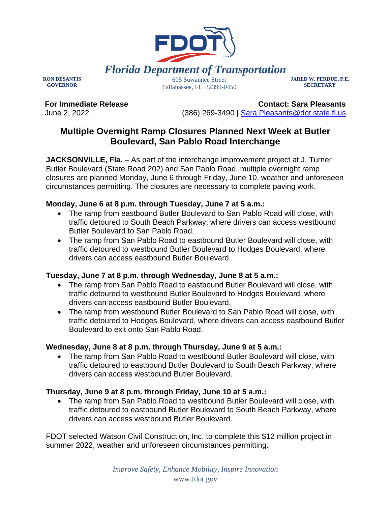

**RON DESANTIS GOVERNOR**

605 Suwannee Street Tallahassee, FL 32399-0450 **JARED W. PERDUE, P.E. SECRETARY**

**For Immediate Release** June 2, 2022

**Contact: Sara Pleasants** (386) 269-3490 | [Sara.Pleasants@dot.state.fl.us](mailto:Sara.Pleasants@dot.state.fl.us)

# **Multiple Overnight Ramp Closures Planned Next Week at Butler Boulevard, San Pablo Road Interchange**

**JACKSONVILLE, Fla.** – As part of the interchange improvement project at J. Turner Butler Boulevard (State Road 202) and San Pablo Road, multiple overnight ramp closures are planned Monday, June 6 through Friday, June 10, weather and unforeseen circumstances permitting. The closures are necessary to complete paving work.

### **Monday, June 6 at 8 p.m. through Tuesday, June 7 at 5 a.m.:**

- The ramp from eastbound Butler Boulevard to San Pablo Road will close, with traffic detoured to South Beach Parkway, where drivers can access westbound Butler Boulevard to San Pablo Road.
- The ramp from San Pablo Road to eastbound Butler Boulevard will close, with traffic detoured to westbound Butler Boulevard to Hodges Boulevard, where drivers can access eastbound Butler Boulevard.

### **Tuesday, June 7 at 8 p.m. through Wednesday, June 8 at 5 a.m.:**

- The ramp from San Pablo Road to eastbound Butler Boulevard will close, with traffic detoured to westbound Butler Boulevard to Hodges Boulevard, where drivers can access eastbound Butler Boulevard.
- The ramp from westbound Butler Boulevard to San Pablo Road will close, with traffic detoured to Hodges Boulevard, where drivers can access eastbound Butler Boulevard to exit onto San Pablo Road.

# **Wednesday, June 8 at 8 p.m. through Thursday, June 9 at 5 a.m.:**

• The ramp from San Pablo Road to westbound Butler Boulevard will close, with traffic detoured to eastbound Butler Boulevard to South Beach Parkway, where drivers can access westbound Butler Boulevard.

# **Thursday, June 9 at 8 p.m. through Friday, June 10 at 5 a.m.:**

• The ramp from San Pablo Road to westbound Butler Boulevard will close, with traffic detoured to eastbound Butler Boulevard to South Beach Parkway, where drivers can access westbound Butler Boulevard.

FDOT selected Watson Civil Construction, Inc. to complete this \$12 million project in summer 2022, weather and unforeseen circumstances permitting.

> *Improve Safety, Enhance Mobility, Inspire Innovation* www.fdot.gov